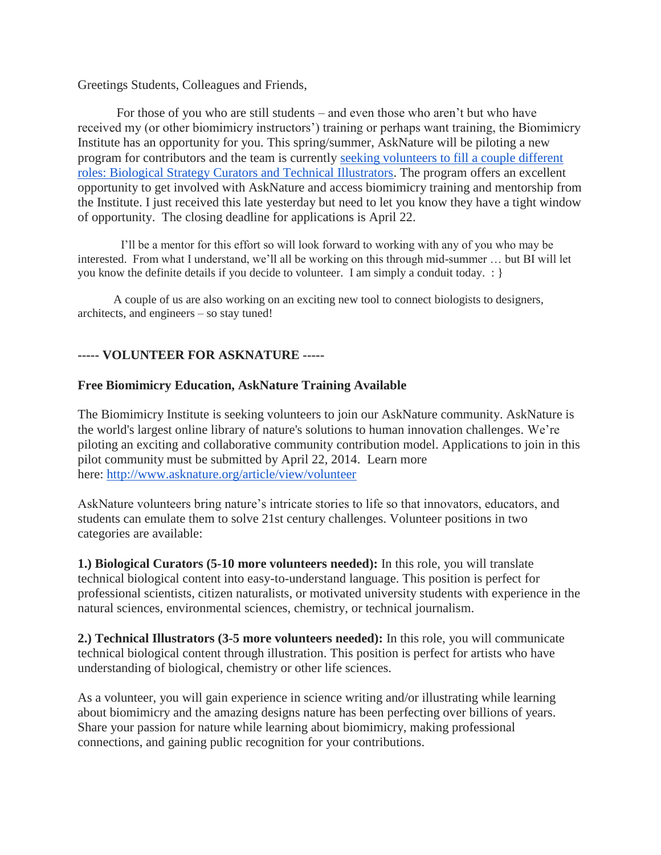Greetings Students, Colleagues and Friends,

For those of you who are still students – and even those who aren't but who have received my (or other biomimicry instructors') training or perhaps want training, the Biomimicry Institute has an opportunity for you. This spring/summer, AskNature will be piloting a new program for contributors and the team is currently [seeking volunteers to fill a couple different](http://www.asknature.org/article/view/volunteer)  [roles: Biological Strategy Curators and Technical Illustrators.](http://www.asknature.org/article/view/volunteer) The program offers an excellent opportunity to get involved with AskNature and access biomimicry training and mentorship from the Institute. I just received this late yesterday but need to let you know they have a tight window of opportunity. The closing deadline for applications is April 22.

 I'll be a mentor for this effort so will look forward to working with any of you who may be interested. From what I understand, we'll all be working on this through mid-summer … but BI will let you know the definite details if you decide to volunteer. I am simply a conduit today. : }

 A couple of us are also working on an exciting new tool to connect biologists to designers, architects, and engineers – so stay tuned!

## **----- VOLUNTEER FOR ASKNATURE -----**

## **Free Biomimicry Education, AskNature Training Available**

The Biomimicry Institute is seeking volunteers to join our AskNature community. AskNature is the world's largest online library of nature's solutions to human innovation challenges. We're piloting an exciting and collaborative community contribution model. Applications to join in this pilot community must be submitted by April 22, 2014. Learn more here: <http://www.asknature.org/article/view/volunteer>

AskNature volunteers bring nature's intricate stories to life so that innovators, educators, and students can emulate them to solve 21st century challenges. Volunteer positions in two categories are available:

**1.) Biological Curators (5-10 more volunteers needed):** In this role, you will translate technical biological content into easy-to-understand language. This position is perfect for professional scientists, citizen naturalists, or motivated university students with experience in the natural sciences, environmental sciences, chemistry, or technical journalism.

**2.) Technical Illustrators (3-5 more volunteers needed):** In this role, you will communicate technical biological content through illustration. This position is perfect for artists who have understanding of biological, chemistry or other life sciences.

As a volunteer, you will gain experience in science writing and/or illustrating while learning about biomimicry and the amazing designs nature has been perfecting over billions of years. Share your passion for nature while learning about biomimicry, making professional connections, and gaining public recognition for your contributions.